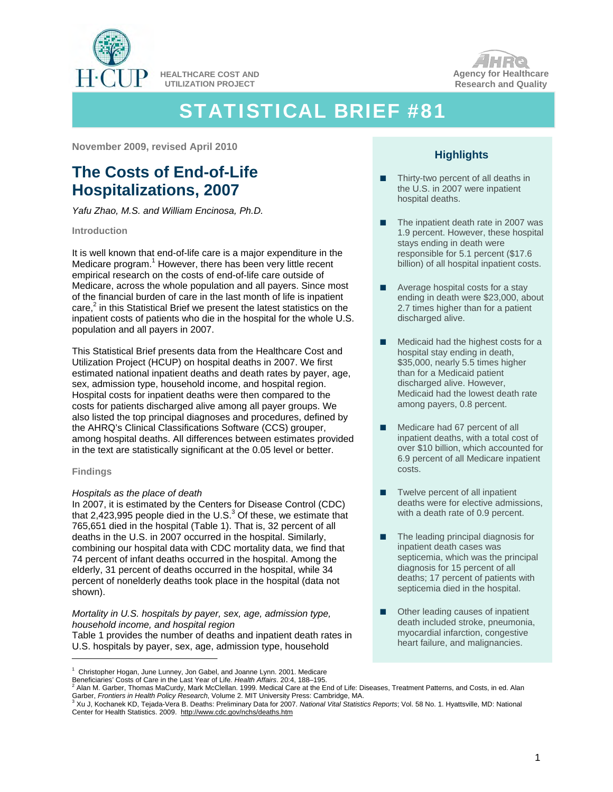

**HEALTHCARE COST AND UTILIZATION PROJECT** 



# STATISTICAL BRIEF #81

**November 2009, revised April 2010** 

# **The Costs of End-of-Life Hospitalizations, 2007**

*Yafu Zhao, M.S. and William Encinosa, Ph.D.* 

# **Introduction**

From

It is well known that end-of-life care is a major expenditure in the Medicare program.<sup>1</sup> However, there has been very little recent empirical research on the costs of end-of-life care outside of Medicare, across the whole population and all payers. Since most of the financial burden of care in the last month of life is inpatient care, $2$  in this Statistical Brief we present the latest statistics on the inpatient costs of patients who die in the hospital for the whole U.S. population and all payers in 2007.

This Statistical Brief presents data from the Healthcare Cost and Utilization Project (HCUP) on hospital deaths in 2007. We first estimated national inpatient deaths and death rates by payer, age, sex, admission type, household income, and hospital region. Hospital costs for inpatient deaths were then compared to the costs for patients discharged alive among all payer groups. We also listed the top principal diagnoses and procedures, defined by the AHRQ's Clinical Classifications Software (CCS) grouper, among hospital deaths. All differences between estimates provided in the text are statistically significant at the 0.05 level or better.

# **Findings**

# *Hospitals as the place of death*

In 2007, it is estimated by the Centers for Disease Control (CDC) that 2,423,995 people died in the U.S. $3$  Of these, we estimate that 765,651 died in the hospital (Table 1). That is, 32 percent of all deaths in the U.S. in 2007 occurred in the hospital. Similarly, combining our hospital data with CDC mortality data, we find that 74 percent of infant deaths occurred in the hospital. Among the elderly, 31 percent of deaths occurred in the hospital, while 34 percent of nonelderly deaths took place in the hospital (data not shown).

*Mortality in U.S. hospitals by payer, sex, age, admission type, household income, and hospital region* 

Table 1 provides the number of deaths and inpatient death rates in U.S. hospitals by payer, sex, age, admission type, household

- **■** Thirty-two percent of all deaths in the U.S. in 2007 were inpatient hospital deaths.
- **■** The inpatient death rate in 2007 was 1.9 percent. However, these hospital stays ending in death were responsible for 5.1 percent (\$17.6 billion) of all hospital inpatient costs.
- **■** Average hospital costs for a stay ending in death were \$23,000, about 2.7 times higher than for a patient discharged alive.
- Medicaid had the highest costs for a hospital stay ending in death, \$35,000, nearly 5.5 times higher than for a Medicaid patient discharged alive. However, Medicaid had the lowest death rate among payers, 0.8 percent.
- **■** Medicare had 67 percent of all inpatient deaths, with a total cost of over \$10 billion, which accounted for 6.9 percent of all Medicare inpatient costs.
- Twelve percent of all inpatient deaths were for elective admissions, with a death rate of 0.9 percent.
- **■** The leading principal diagnosis for inpatient death cases was septicemia, which was the principal diagnosis for 15 percent of all deaths; 17 percent of patients with septicemia died in the hospital.
- **■** Other leading causes of inpatient death included stroke, pneumonia, myocardial infarction, congestive heart failure, and malignancies.

**Highlights** 

<sup>&</sup>lt;sup>1</sup> Christopher Hogan, June Lunney, Jon Gabel, and Joanne Lynn. 2001. Medicare Beneficiaries' Costs of Care in the Last Year of Life. *Health Affairs*. 20:4, 188–195. 2

Alan M. Garber, Thomas MaCurdy, Mark McClellan. 1999. Medical Care at the End of Life: Diseases, Treatment Patterns, and Costs, in ed. Alan Garber, *Frontiers in Health Policy Research*, Volume 2. MIT University Press: Cambridge, MA.<br><sup>3</sup> Xu J, Kochanek KD, Tejada-Vera B. Deaths: Preliminary Data for 2007. *National Vital Statistics Reports*; Vol. 58 No. 1. Hya

Center for Health Statistics. 2009. http://www.cdc.gov/nchs/deaths.htm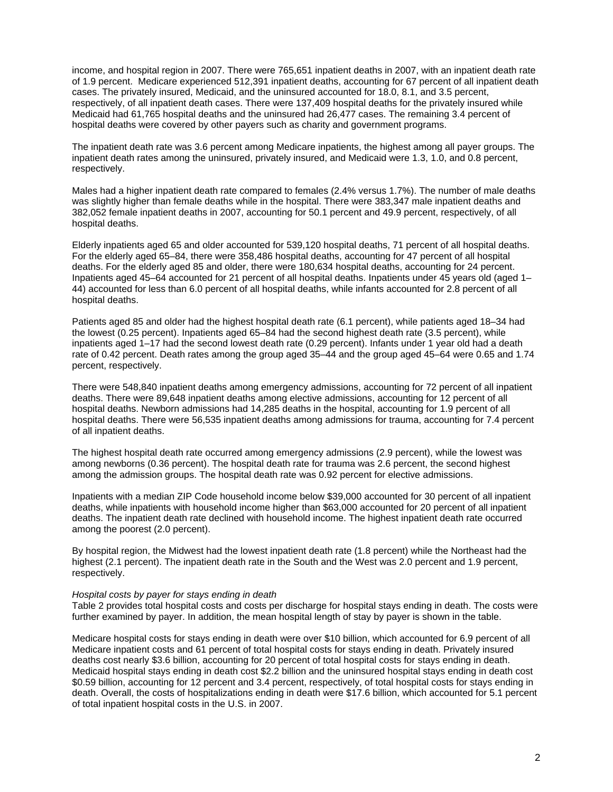income, and hospital region in 2007. There were 765,651 inpatient deaths in 2007, with an inpatient death rate of 1.9 percent. Medicare experienced 512,391 inpatient deaths, accounting for 67 percent of all inpatient death cases. The privately insured, Medicaid, and the uninsured accounted for 18.0, 8.1, and 3.5 percent, respectively, of all inpatient death cases. There were 137,409 hospital deaths for the privately insured while Medicaid had 61,765 hospital deaths and the uninsured had 26,477 cases. The remaining 3.4 percent of hospital deaths were covered by other payers such as charity and government programs.

The inpatient death rate was 3.6 percent among Medicare inpatients, the highest among all payer groups. The inpatient death rates among the uninsured, privately insured, and Medicaid were 1.3, 1.0, and 0.8 percent, respectively.

Males had a higher inpatient death rate compared to females (2.4% versus 1.7%). The number of male deaths was slightly higher than female deaths while in the hospital. There were 383,347 male inpatient deaths and 382,052 female inpatient deaths in 2007, accounting for 50.1 percent and 49.9 percent, respectively, of all hospital deaths.

Elderly inpatients aged 65 and older accounted for 539,120 hospital deaths, 71 percent of all hospital deaths. For the elderly aged 65–84, there were 358,486 hospital deaths, accounting for 47 percent of all hospital deaths. For the elderly aged 85 and older, there were 180,634 hospital deaths, accounting for 24 percent. Inpatients aged 45–64 accounted for 21 percent of all hospital deaths. Inpatients under 45 years old (aged 1– 44) accounted for less than 6.0 percent of all hospital deaths, while infants accounted for 2.8 percent of all hospital deaths.

Patients aged 85 and older had the highest hospital death rate (6.1 percent), while patients aged 18–34 had the lowest (0.25 percent). Inpatients aged 65–84 had the second highest death rate (3.5 percent), while inpatients aged 1–17 had the second lowest death rate (0.29 percent). Infants under 1 year old had a death rate of 0.42 percent. Death rates among the group aged 35–44 and the group aged 45–64 were 0.65 and 1.74 percent, respectively.

There were 548,840 inpatient deaths among emergency admissions, accounting for 72 percent of all inpatient deaths. There were 89,648 inpatient deaths among elective admissions, accounting for 12 percent of all hospital deaths. Newborn admissions had 14,285 deaths in the hospital, accounting for 1.9 percent of all hospital deaths. There were 56,535 inpatient deaths among admissions for trauma, accounting for 7.4 percent of all inpatient deaths.

The highest hospital death rate occurred among emergency admissions (2.9 percent), while the lowest was among newborns (0.36 percent). The hospital death rate for trauma was 2.6 percent, the second highest among the admission groups. The hospital death rate was 0.92 percent for elective admissions.

Inpatients with a median ZIP Code household income below \$39,000 accounted for 30 percent of all inpatient deaths, while inpatients with household income higher than \$63,000 accounted for 20 percent of all inpatient deaths. The inpatient death rate declined with household income. The highest inpatient death rate occurred among the poorest (2.0 percent).

By hospital region, the Midwest had the lowest inpatient death rate (1.8 percent) while the Northeast had the highest (2.1 percent). The inpatient death rate in the South and the West was 2.0 percent and 1.9 percent, respectively.

#### *Hospital costs by payer for stays ending in death*

Table 2 provides total hospital costs and costs per discharge for hospital stays ending in death. The costs were further examined by payer. In addition, the mean hospital length of stay by payer is shown in the table.

Medicare hospital costs for stays ending in death were over \$10 billion, which accounted for 6.9 percent of all Medicare inpatient costs and 61 percent of total hospital costs for stays ending in death. Privately insured deaths cost nearly \$3.6 billion, accounting for 20 percent of total hospital costs for stays ending in death. Medicaid hospital stays ending in death cost \$2.2 billion and the uninsured hospital stays ending in death cost \$0.59 billion, accounting for 12 percent and 3.4 percent, respectively, of total hospital costs for stays ending in death. Overall, the costs of hospitalizations ending in death were \$17.6 billion, which accounted for 5.1 percent of total inpatient hospital costs in the U.S. in 2007.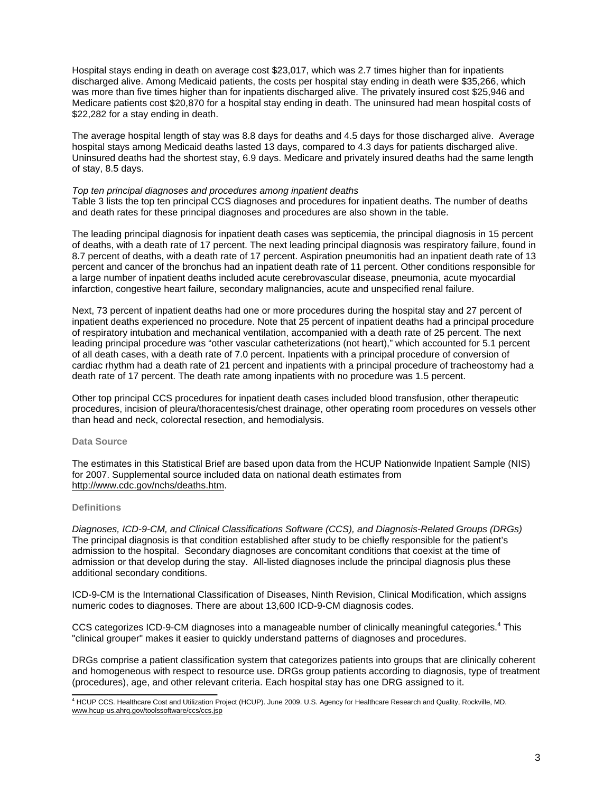Hospital stays ending in death on average cost \$23,017, which was 2.7 times higher than for inpatients discharged alive. Among Medicaid patients, the costs per hospital stay ending in death were \$35,266, which was more than five times higher than for inpatients discharged alive. The privately insured cost \$25,946 and Medicare patients cost \$20,870 for a hospital stay ending in death. The uninsured had mean hospital costs of \$22,282 for a stay ending in death.

The average hospital length of stay was 8.8 days for deaths and 4.5 days for those discharged alive. Average hospital stays among Medicaid deaths lasted 13 days, compared to 4.3 days for patients discharged alive. Uninsured deaths had the shortest stay, 6.9 days. Medicare and privately insured deaths had the same length of stay, 8.5 days.

#### *Top ten principal diagnoses and procedures among inpatient deaths*

Table 3 lists the top ten principal CCS diagnoses and procedures for inpatient deaths. The number of deaths and death rates for these principal diagnoses and procedures are also shown in the table.

The leading principal diagnosis for inpatient death cases was septicemia, the principal diagnosis in 15 percent of deaths, with a death rate of 17 percent. The next leading principal diagnosis was respiratory failure, found in 8.7 percent of deaths, with a death rate of 17 percent. Aspiration pneumonitis had an inpatient death rate of 13 percent and cancer of the bronchus had an inpatient death rate of 11 percent. Other conditions responsible for a large number of inpatient deaths included acute cerebrovascular disease, pneumonia, acute myocardial infarction, congestive heart failure, secondary malignancies, acute and unspecified renal failure.

Next, 73 percent of inpatient deaths had one or more procedures during the hospital stay and 27 percent of inpatient deaths experienced no procedure. Note that 25 percent of inpatient deaths had a principal procedure of respiratory intubation and mechanical ventilation, accompanied with a death rate of 25 percent. The next leading principal procedure was "other vascular catheterizations (not heart)," which accounted for 5.1 percent of all death cases, with a death rate of 7.0 percent. Inpatients with a principal procedure of conversion of cardiac rhythm had a death rate of 21 percent and inpatients with a principal procedure of tracheostomy had a death rate of 17 percent. The death rate among inpatients with no procedure was 1.5 percent.

Other top principal CCS procedures for inpatient death cases included blood transfusion, other therapeutic procedures, incision of pleura/thoracentesis/chest drainage, other operating room procedures on vessels other than head and neck, colorectal resection, and hemodialysis.

#### **Data Source**

The estimates in this Statistical Brief are based upon data from the HCUP Nationwide Inpatient Sample (NIS) for 2007. Supplemental source included data on national death estimates from <http://www.cdc.gov/nchs/deaths.htm>.

#### **Definitions**

*Diagnoses, ICD-9-CM, and Clinical Classifications Software (CCS), and Diagnosis-Related Groups (DRGs)*  The principal diagnosis is that condition established after study to be chiefly responsible for the patient's admission to the hospital. Secondary diagnoses are concomitant conditions that coexist at the time of admission or that develop during the stay. All-listed diagnoses include the principal diagnosis plus these additional secondary conditions.

ICD-9-CM is the International Classification of Diseases, Ninth Revision, Clinical Modification, which assigns numeric codes to diagnoses. There are about 13,600 ICD-9-CM diagnosis codes.

CCS categorizes ICD-9-CM diagnoses into a manageable number of clinically meaningful categories.<sup>4</sup> This "clinical grouper" makes it easier to quickly understand patterns of diagnoses and procedures.

DRGs comprise a patient classification system that categorizes patients into groups that are clinically coherent and homogeneous with respect to resource use. DRGs group patients according to diagnosis, type of treatment (procedures), age, and other relevant criteria. Each hospital stay has one DRG assigned to it.

<sup>4</sup> HCUP CCS. Healthcare Cost and Utilization Project (HCUP). June 2009. U.S. Agency for Healthcare Research and Quality, Rockville, MD. [www.hcup-us.ahrq.gov/toolssoftware/ccs/ccs.jsp](http://www.hcup-us.ahrq.gov/toolssoftware/ccs/ccs.jsp)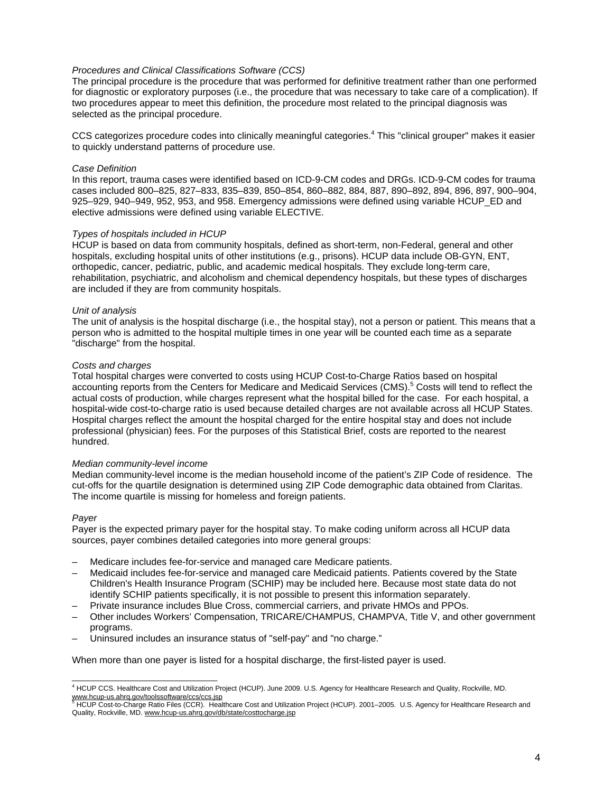#### *Procedures and Clinical Classifications Software (CCS)*

The principal procedure is the procedure that was performed for definitive treatment rather than one performed for diagnostic or exploratory purposes (i.e., the procedure that was necessary to take care of a complication). If two procedures appear to meet this definition, the procedure most related to the principal diagnosis was selected as the principal procedure.

CCS categorizes procedure codes into clinically meaningful categories.<sup>4</sup> This "clinical grouper" makes it easier to quickly understand patterns of procedure use.

#### *Case Definition*

In this report, trauma cases were identified based on ICD-9-CM codes and DRGs. ICD-9-CM codes for trauma cases included 800–825, 827–833, 835–839, 850–854, 860–882, 884, 887, 890–892, 894, 896, 897, 900–904, 925–929, 940–949, 952, 953, and 958. Emergency admissions were defined using variable HCUP\_ED and elective admissions were defined using variable ELECTIVE.

#### *Types of hospitals included in HCUP*

HCUP is based on data from community hospitals, defined as short-term, non-Federal, general and other hospitals, excluding hospital units of other institutions (e.g., prisons). HCUP data include OB-GYN, ENT, orthopedic, cancer, pediatric, public, and academic medical hospitals. They exclude long-term care, rehabilitation, psychiatric, and alcoholism and chemical dependency hospitals, but these types of discharges are included if they are from community hospitals.

#### *Unit of analysis*

The unit of analysis is the hospital discharge (i.e., the hospital stay), not a person or patient. This means that a person who is admitted to the hospital multiple times in one year will be counted each time as a separate "discharge" from the hospital.

#### *Costs and charges*

Total hospital charges were converted to costs using HCUP Cost-to-Charge Ratios based on hospital accounting reports from the Centers for Medicare and Medicaid Services (CMS).<sup>5</sup> Costs will tend to reflect the actual costs of production, while charges represent what the hospital billed for the case. For each hospital, a hospital-wide cost-to-charge ratio is used because detailed charges are not available across all HCUP States. Hospital charges reflect the amount the hospital charged for the entire hospital stay and does not include professional (physician) fees. For the purposes of this Statistical Brief, costs are reported to the nearest hundred.

#### *Median community-level income*

Median community-level income is the median household income of the patient's ZIP Code of residence. The cut-offs for the quartile designation is determined using ZIP Code demographic data obtained from Claritas. The income quartile is missing for homeless and foreign patients.

#### *Payer*

Payer is the expected primary payer for the hospital stay. To make coding uniform across all HCUP data sources, payer combines detailed categories into more general groups:

- Medicare includes fee-for-service and managed care Medicare patients.
- Medicaid includes fee-for-service and managed care Medicaid patients. Patients covered by the State Children's Health Insurance Program (SCHIP) may be included here. Because most state data do not identify SCHIP patients specifically, it is not possible to present this information separately.
- Private insurance includes Blue Cross, commercial carriers, and private HMOs and PPOs.
- Other includes Workers' Compensation, TRICARE/CHAMPUS, CHAMPVA, Title V, and other government programs.
- Uninsured includes an insurance status of "self-pay" and "no charge."

When more than one payer is listed for a hospital discharge, the first-listed payer is used.

<sup>4</sup> HCUP CCS. Healthcare Cost and Utilization Project (HCUP). June 2009. U.S. Agency for Healthcare Research and Quality, Rockville, MD. <u>[www.hcup-us.ahrq.gov/toolssoftware/ccs/ccs.jsp](http://www.hcup-us.ahrq.gov/toolssoftware/ccs/ccs.jsp)</u><br><sup>[5](http://www.hcup-us.ahrq.gov/toolssoftware/ccs/ccs.jsp)</sup> HCUP Cost-to-Charge Ra[tio](http://www.hcup-us.ahrq.gov/db/state/costtocharge.jsp) Files (CCR). Healthcare Cost and Utilization Project (HCUP). 2001–2005. U.S. Agency for Healthcare Research and

Quality, Rockville, MD. [www.hcup-us.ahrq.gov/db/state/costtocharge.jsp](http://www.hcup-us.ahrq.gov/db/state/costtocharge.jsp)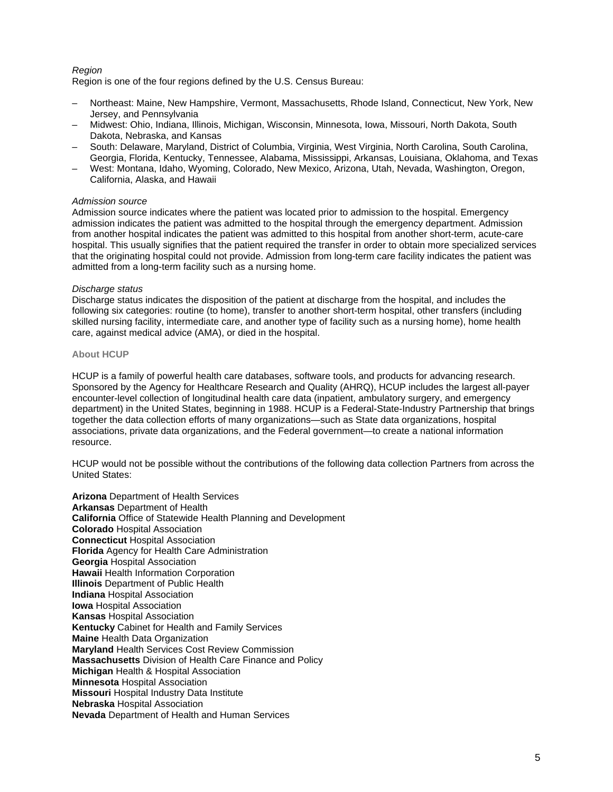# *Region*

Region is one of the four regions defined by the U.S. Census Bureau:

- Northeast: Maine, New Hampshire, Vermont, Massachusetts, Rhode Island, Connecticut, New York, New Jersey, and Pennsylvania
- Midwest: Ohio, Indiana, Illinois, Michigan, Wisconsin, Minnesota, Iowa, Missouri, North Dakota, South Dakota, Nebraska, and Kansas
- South: Delaware, Maryland, District of Columbia, Virginia, West Virginia, North Carolina, South Carolina, Georgia, Florida, Kentucky, Tennessee, Alabama, Mississippi, Arkansas, Louisiana, Oklahoma, and Texas
- West: Montana, Idaho, Wyoming, Colorado, New Mexico, Arizona, Utah, Nevada, Washington, Oregon, California, Alaska, and Hawaii

#### *Admission source*

Admission source indicates where the patient was located prior to admission to the hospital. Emergency admission indicates the patient was admitted to the hospital through the emergency department. Admission from another hospital indicates the patient was admitted to this hospital from another short-term, acute-care hospital. This usually signifies that the patient required the transfer in order to obtain more specialized services that the originating hospital could not provide. Admission from long-term care facility indicates the patient was admitted from a long-term facility such as a nursing home.

#### *Discharge status*

Discharge status indicates the disposition of the patient at discharge from the hospital, and includes the following six categories: routine (to home), transfer to another short-term hospital, other transfers (including skilled nursing facility, intermediate care, and another type of facility such as a nursing home), home health care, against medical advice (AMA), or died in the hospital.

#### **About HCUP**

HCUP is a family of powerful health care databases, software tools, and products for advancing research. Sponsored by the Agency for Healthcare Research and Quality (AHRQ), HCUP includes the largest all-payer encounter-level collection of longitudinal health care data (inpatient, ambulatory surgery, and emergency department) in the United States, beginning in 1988. HCUP is a Federal-State-Industry Partnership that brings together the data collection efforts of many organizations—such as State data organizations, hospital associations, private data organizations, and the Federal government—to create a national information resource.

HCUP would not be possible without the contributions of the following data collection Partners from across the United States:

**Arizona** Department of Health Services **Arkansas** Department of Health **California** Office of Statewide Health Planning and Development **Colorado** Hospital Association **Connecticut** Hospital Association **Florida** Agency for Health Care Administration **Georgia** Hospital Association **Hawaii** Health Information Corporation **Illinois** Department of Public Health **Indiana** Hospital Association **Iowa** Hospital Association **Kansas** Hospital Association **Kentucky** Cabinet for Health and Family Services **Maine** Health Data Organization **Maryland** Health Services Cost Review Commission **Massachusetts** Division of Health Care Finance and Policy **Michigan** Health & Hospital Association **Minnesota** Hospital Association **Missouri** Hospital Industry Data Institute **Nebraska** Hospital Association **Nevada** Department of Health and Human Services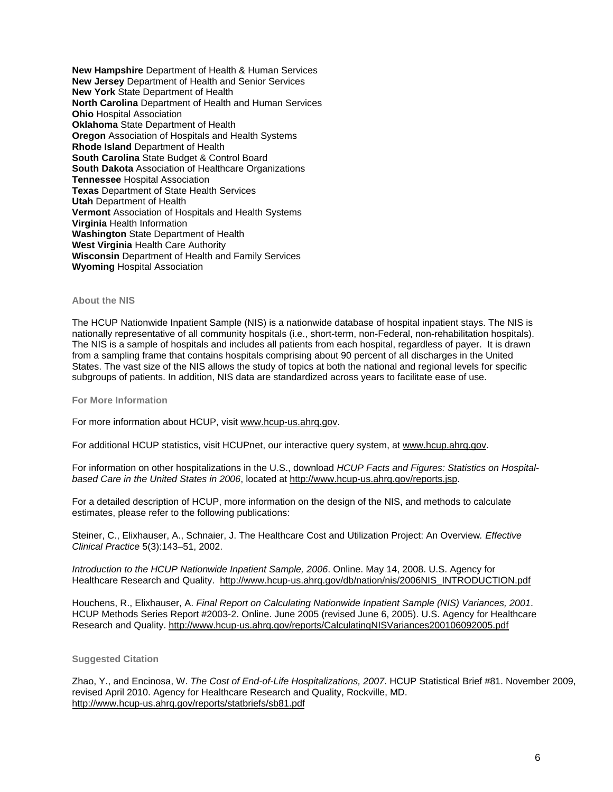**New Hampshire** Department of Health & Human Services **New Jersey** Department of Health and Senior Services **New York** State Department of Health **North Carolina** Department of Health and Human Services **Ohio** Hospital Association **Oklahoma** State Department of Health **Oregon** Association of Hospitals and Health Systems **Rhode Island** Department of Health **South Carolina** State Budget & Control Board **South Dakota** Association of Healthcare Organizations **Tennessee Hospital Association Texas** Department of State Health Services **Utah** Department of Health **Vermont** Association of Hospitals and Health Systems **Virginia** Health Information **Washington** State Department of Health **West Virginia** Health Care Authority **Wisconsin** Department of Health and Family Services **Wyoming** Hospital Association

#### **About the NIS**

The HCUP Nationwide Inpatient Sample (NIS) is a nationwide database of hospital inpatient stays. The NIS is nationally representative of all community hospitals (i.e., short-term, non-Federal, non-rehabilitation hospitals). The NIS is a sample of hospitals and includes all patients from each hospital, regardless of payer. It is drawn from a sampling frame that contains hospitals comprising about 90 percent of all discharges in the United States. The vast size of the NIS allows the study of topics at both the national and regional levels for specific subgroups of patients. In addition, NIS data are standardized across years to facilitate ease of use.

**For More Information**

For more information about HCUP, visit [www.hcup-us.ahrq.gov](http://www.hcup-us.ahrq.gov/).

For additional HCUP statistics, visit HCUPnet, our interactive query system, at [www.hcup.ahrq.gov.](http://www.hcup.ahrq.gov/)

For information on other hospitalizations in the U.S., download *HCUP Facts and Figures: Statistics on Hospitalbased Care in the United States in 2006*, located at [http://www.hcup-us.ahrq.gov/reports.jsp.](http://www.hcup-us.ahrq.gov/reports.jsp)

For a detailed description of HCUP, more information on the design of the NIS, and methods to calculate estimates, please refer to the following publications:

Steiner, C., Elixhauser, A., Schnaier, J. The Healthcare Cost and Utilization Project: An Overview*. Effective Clinical Practice* 5(3):143–51, 2002.

*Introduction to the HCUP Nationwide Inpatient Sample, 2006*. Online. May 14, 2008. U.S. Agency for Healthcare Research and Quality. [http://www.hcup-us.ahrq.gov/db/nation/nis/2006NIS\\_INTRODUCTION.pdf](http://www.hcup-us.ahrq.gov/db/nation/nis/2006NIS_INTRODUCTION.pdf)

Houchens, R., Elixhauser, A. *Final Report on Calculating Nationwide Inpatient Sample (NIS) Variances, 2001*. HCUP Methods Series Report #2003-2. Online. June 2005 (revised June 6, 2005). U.S. Agency for Healthcare Research and Quality. <http://www.hcup-us.ahrq.gov/reports/CalculatingNISVariances200106092005.pdf>

#### **Suggested Citation**

Zhao, Y., and Encinosa, W. *The Cost of End-of-Life Hospitalizations, 2007*. HCUP Statistical Brief #81. November 2009, revised April 2010. Agency for Healthcare Research and Quality, Rockville, MD. http://www.hcup-[us.ahrq.gov/reports/statbriefs/sb81.pdf](http://www.hcup-us.ahrq.gov/reports/statbriefs/sb81.pdf)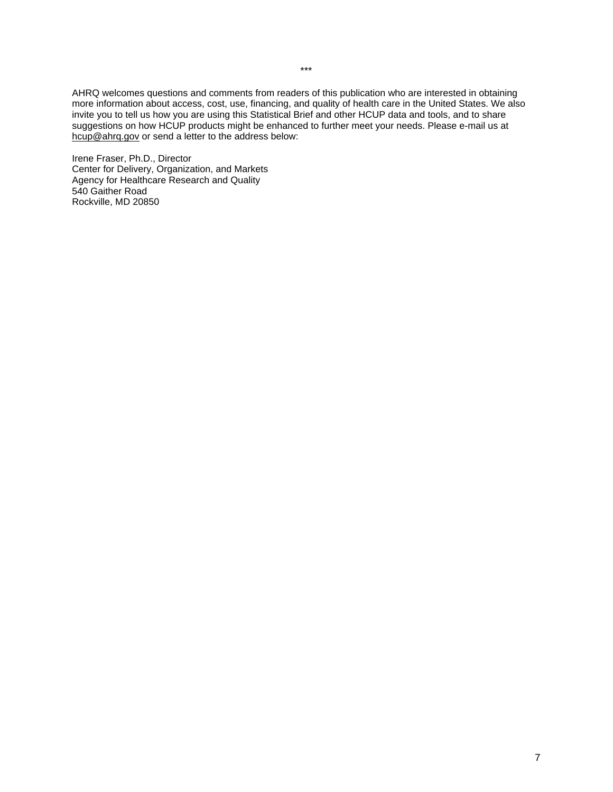AHRQ welcomes questions and comments from readers of this publication who are interested in obtaining more information about access, cost, use, financing, and quality of health care in the United States. We also invite you to tell us how you are using this Statistical Brief and other HCUP data and tools, and to share suggestions on how HCUP products might be enhanced to further meet your needs. Please e-mail us at [hcup@ahrq.gov](mailto:hcup@ahrq.gov) or send a letter to the address below:

Irene Fraser, Ph.D., Director Center for Delivery, Organization, and Markets Agency for Healthcare Research and Quality 540 Gaither Road Rockville, MD 20850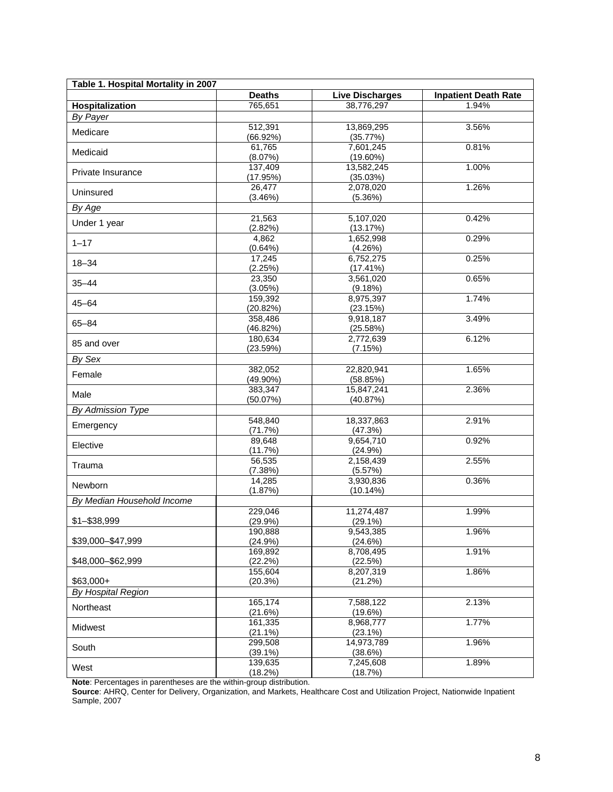|                            | Table 1. Hospital Mortality in 2007 |                        |                             |  |  |  |  |
|----------------------------|-------------------------------------|------------------------|-----------------------------|--|--|--|--|
|                            | <b>Deaths</b>                       | <b>Live Discharges</b> | <b>Inpatient Death Rate</b> |  |  |  |  |
| Hospitalization            | 765,651                             | 38,776,297             | 1.94%                       |  |  |  |  |
| By Payer                   |                                     |                        |                             |  |  |  |  |
| Medicare                   | 512,391                             | 13,869,295             | 3.56%                       |  |  |  |  |
|                            | (66.92%)                            | (35.77%)               |                             |  |  |  |  |
| Medicaid                   | 61,765                              | 7,601,245              | 0.81%                       |  |  |  |  |
|                            | (8.07%)                             | $(19.60\%)$            |                             |  |  |  |  |
| Private Insurance          | 137,409                             | 13,582,245             | 1.00%                       |  |  |  |  |
|                            | (17.95%)                            | (35.03%)               |                             |  |  |  |  |
| Uninsured                  | 26,477                              | 2,078,020              | 1.26%                       |  |  |  |  |
|                            | (3.46%)                             | (5.36%)                |                             |  |  |  |  |
| By Age                     |                                     |                        |                             |  |  |  |  |
| Under 1 year               | 21,563                              | 5,107,020              | 0.42%                       |  |  |  |  |
|                            | (2.82%)                             | (13.17%)               |                             |  |  |  |  |
| $1 - 17$                   | 4,862                               | 1,652,998              | 0.29%                       |  |  |  |  |
|                            | (0.64%)                             | (4.26%)                |                             |  |  |  |  |
| $18 - 34$                  | 17,245                              | 6,752,275              | 0.25%                       |  |  |  |  |
|                            | (2.25%)                             | (17.41%)               |                             |  |  |  |  |
| $35 - 44$                  | 23,350                              | 3,561,020              | 0.65%                       |  |  |  |  |
|                            | (3.05%)                             | (9.18%)                |                             |  |  |  |  |
| $45 - 64$                  | 159,392                             | 8,975,397              | 1.74%                       |  |  |  |  |
|                            | (20.82%)                            | (23.15%)               |                             |  |  |  |  |
| $65 - 84$                  | 358,486                             | 9,918,187              | 3.49%                       |  |  |  |  |
|                            | (46.82%)<br>180,634                 | (25.58%)<br>2,772,639  | 6.12%                       |  |  |  |  |
| 85 and over                | (23.59%)                            | (7.15%)                |                             |  |  |  |  |
|                            |                                     |                        |                             |  |  |  |  |
| By Sex                     | 382,052                             | 22,820,941             | 1.65%                       |  |  |  |  |
| Female                     | $(49.90\%)$                         | (58.85%)               |                             |  |  |  |  |
|                            | 383,347                             | 15,847,241             | 2.36%                       |  |  |  |  |
| Male                       | (50.07%)                            | (40.87%)               |                             |  |  |  |  |
| By Admission Type          |                                     |                        |                             |  |  |  |  |
|                            | 548,840                             | 18,337,863             | 2.91%                       |  |  |  |  |
| Emergency                  | (71.7%)                             | (47.3%)                |                             |  |  |  |  |
|                            | 89,648                              | 9,654,710              | 0.92%                       |  |  |  |  |
| Elective                   | (11.7%)                             | (24.9%)                |                             |  |  |  |  |
|                            | 56,535                              | 2,158,439              | 2.55%                       |  |  |  |  |
| Trauma                     | (7.38%)                             | (5.57%)                |                             |  |  |  |  |
|                            | 14,285                              | 3,930,836              | 0.36%                       |  |  |  |  |
| Newborn                    | (1.87%)                             | (10.14%)               |                             |  |  |  |  |
| By Median Household Income |                                     |                        |                             |  |  |  |  |
|                            | 229,046                             | 11,274,487             | 1.99%                       |  |  |  |  |
| \$1-\$38,999               | (29.9%)                             | $(29.1\%)$             |                             |  |  |  |  |
|                            | 190,888                             | 9,543,385              | 1.96%                       |  |  |  |  |
| \$39,000-\$47,999          | (24.9%)                             | (24.6%)                |                             |  |  |  |  |
|                            | 169,892                             | 8,708,495              | 1.91%                       |  |  |  |  |
| \$48,000 - \$62,999        | (22.2%)                             | (22.5%)                |                             |  |  |  |  |
|                            | 155,604                             | 8,207,319              | 1.86%                       |  |  |  |  |
| $$63,000+$                 | (20.3%)                             | (21.2%)                |                             |  |  |  |  |
| By Hospital Region         |                                     |                        |                             |  |  |  |  |
| Northeast                  | 165,174                             | 7,588,122              | 2.13%                       |  |  |  |  |
|                            | (21.6%)                             | (19.6%)                |                             |  |  |  |  |
| Midwest                    | 161,335                             | 8,968,777              | 1.77%                       |  |  |  |  |
|                            | $(21.1\%)$                          | $(23.1\%)$             |                             |  |  |  |  |
| South                      | 299,508                             | 14,973,789             | 1.96%                       |  |  |  |  |
|                            | $(39.1\%)$                          | (38.6%)                |                             |  |  |  |  |
| West                       | 139,635                             | 7,245,608              | 1.89%                       |  |  |  |  |
|                            | (18.2%)                             | (18.7%)                |                             |  |  |  |  |

**Note**: Percentages in parentheses are the within-group distribution.

**Source**: AHRQ, Center for Delivery, Organization, and Markets, Healthcare Cost and Utilization Project, Nationwide Inpatient Sample, 2007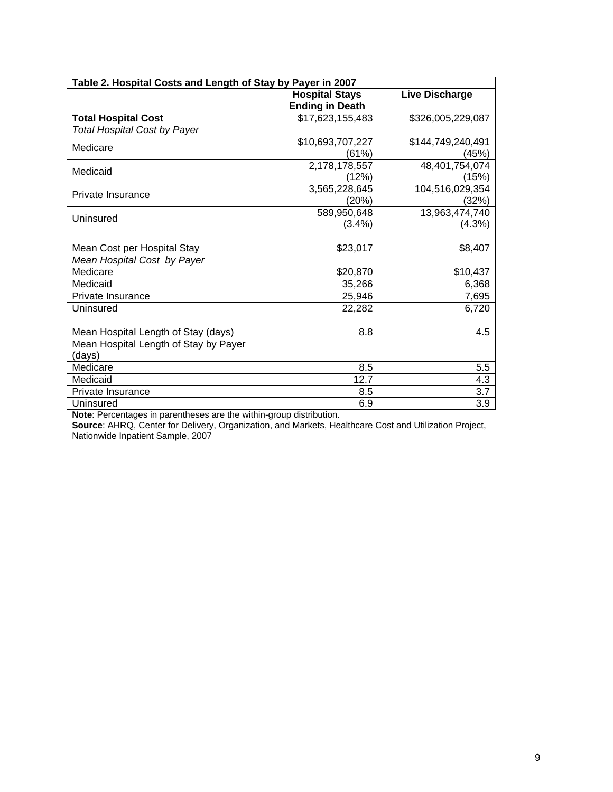| Table 2. Hospital Costs and Length of Stay by Payer in 2007 |                                                 |                            |  |  |  |  |
|-------------------------------------------------------------|-------------------------------------------------|----------------------------|--|--|--|--|
|                                                             | <b>Hospital Stays</b><br><b>Ending in Death</b> | Live Discharge             |  |  |  |  |
| <b>Total Hospital Cost</b>                                  | \$17,623,155,483                                | \$326,005,229,087          |  |  |  |  |
| <b>Total Hospital Cost by Payer</b>                         |                                                 |                            |  |  |  |  |
| Medicare                                                    | \$10,693,707,227<br>(61%)                       | \$144,749,240,491<br>(45%) |  |  |  |  |
| Medicaid                                                    | 2,178,178,557<br>(12%)                          | 48,401,754,074<br>(15%)    |  |  |  |  |
| Private Insurance                                           | 3,565,228,645<br>(20%)                          | 104,516,029,354<br>(32%)   |  |  |  |  |
| Uninsured                                                   | 589,950,648<br>(3.4%)                           | 13,963,474,740<br>(4.3%)   |  |  |  |  |
| Mean Cost per Hospital Stay                                 | \$23,017                                        | \$8,407                    |  |  |  |  |
| Mean Hospital Cost by Payer                                 |                                                 |                            |  |  |  |  |
| Medicare                                                    | \$20,870                                        | \$10,437                   |  |  |  |  |
| Medicaid                                                    | 35,266                                          | 6,368                      |  |  |  |  |
| Private Insurance                                           | 25,946                                          | 7,695                      |  |  |  |  |
| Uninsured                                                   | 22,282                                          | 6,720                      |  |  |  |  |
| Mean Hospital Length of Stay (days)                         | 8.8                                             | 4.5                        |  |  |  |  |
| Mean Hospital Length of Stay by Payer<br>(days)             |                                                 |                            |  |  |  |  |
| Medicare                                                    | 8.5                                             | 5.5                        |  |  |  |  |
| Medicaid                                                    | 12.7                                            | 4.3                        |  |  |  |  |
| Private Insurance                                           | 8.5                                             | 3.7                        |  |  |  |  |
| Uninsured                                                   | 6.9                                             | 3.9                        |  |  |  |  |

**Note**: Percentages in parentheses are the within-group distribution.

**Source**: AHRQ, Center for Delivery, Organization, and Markets, Healthcare Cost and Utilization Project, Nationwide Inpatient Sample, 2007